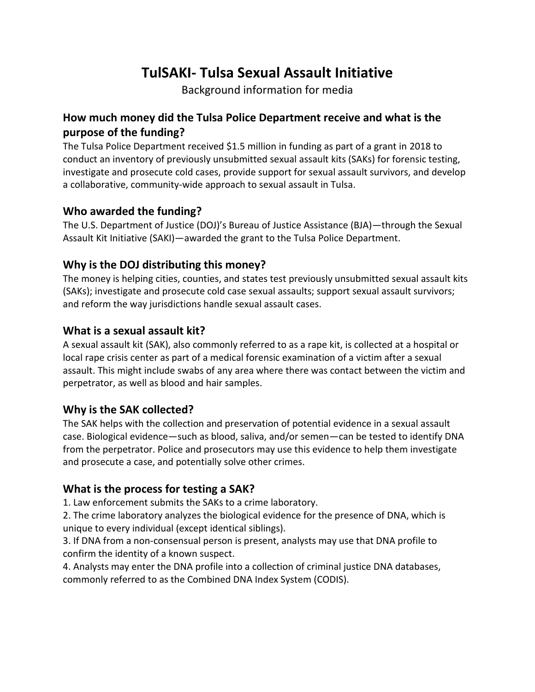# **TulSAKI- Tulsa Sexual Assault Initiative**

Background information for media

# **How much money did the Tulsa Police Department receive and what is the purpose of the funding?**

The Tulsa Police Department received \$1.5 million in funding as part of a grant in 2018 to conduct an inventory of previously unsubmitted sexual assault kits (SAKs) for forensic testing, investigate and prosecute cold cases, provide support for sexual assault survivors, and develop a collaborative, community-wide approach to sexual assault in Tulsa.

## **Who awarded the funding?**

The U.S. Department of Justice (DOJ)'s Bureau of Justice Assistance (BJA)—through the Sexual Assault Kit Initiative (SAKI)—awarded the grant to the Tulsa Police Department.

## **Why is the DOJ distributing this money?**

The money is helping cities, counties, and states test previously unsubmitted sexual assault kits (SAKs); investigate and prosecute cold case sexual assaults; support sexual assault survivors; and reform the way jurisdictions handle sexual assault cases.

## **What is a sexual assault kit?**

A sexual assault kit (SAK), also commonly referred to as a rape kit, is collected at a hospital or local rape crisis center as part of a medical forensic examination of a victim after a sexual assault. This might include swabs of any area where there was contact between the victim and perpetrator, as well as blood and hair samples.

## **Why is the SAK collected?**

The SAK helps with the collection and preservation of potential evidence in a sexual assault case. Biological evidence—such as blood, saliva, and/or semen—can be tested to identify DNA from the perpetrator. Police and prosecutors may use this evidence to help them investigate and prosecute a case, and potentially solve other crimes.

## **What is the process for testing a SAK?**

1. Law enforcement submits the SAKs to a crime laboratory.

2. The crime laboratory analyzes the biological evidence for the presence of DNA, which is unique to every individual (except identical siblings).

3. If DNA from a non-consensual person is present, analysts may use that DNA profile to confirm the identity of a known suspect.

4. Analysts may enter the DNA profile into a collection of criminal justice DNA databases, commonly referred to as the Combined DNA Index System (CODIS).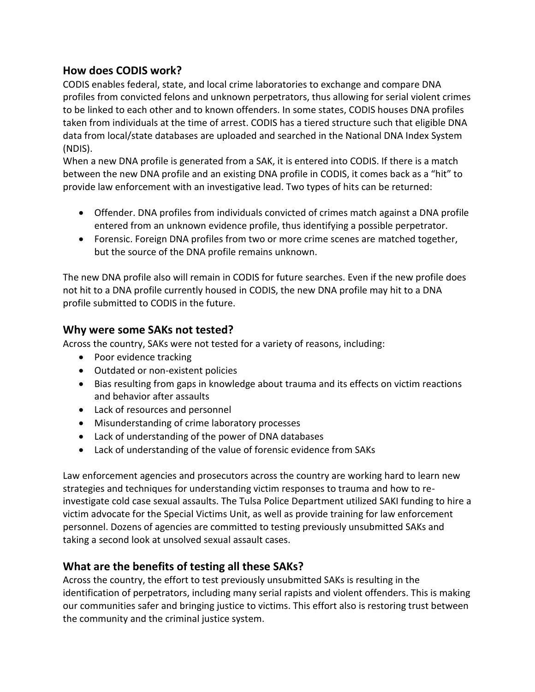## **How does CODIS work?**

CODIS enables federal, state, and local crime laboratories to exchange and compare DNA profiles from convicted felons and unknown perpetrators, thus allowing for serial violent crimes to be linked to each other and to known offenders. In some states, CODIS houses DNA profiles taken from individuals at the time of arrest. CODIS has a tiered structure such that eligible DNA data from local/state databases are uploaded and searched in the National DNA Index System (NDIS).

When a new DNA profile is generated from a SAK, it is entered into CODIS. If there is a match between the new DNA profile and an existing DNA profile in CODIS, it comes back as a "hit" to provide law enforcement with an investigative lead. Two types of hits can be returned:

- Offender. DNA profiles from individuals convicted of crimes match against a DNA profile entered from an unknown evidence profile, thus identifying a possible perpetrator.
- Forensic. Foreign DNA profiles from two or more crime scenes are matched together, but the source of the DNA profile remains unknown.

The new DNA profile also will remain in CODIS for future searches. Even if the new profile does not hit to a DNA profile currently housed in CODIS, the new DNA profile may hit to a DNA profile submitted to CODIS in the future.

#### **Why were some SAKs not tested?**

Across the country, SAKs were not tested for a variety of reasons, including:

- Poor evidence tracking
- Outdated or non-existent policies
- Bias resulting from gaps in knowledge about trauma and its effects on victim reactions and behavior after assaults
- Lack of resources and personnel
- Misunderstanding of crime laboratory processes
- Lack of understanding of the power of DNA databases
- Lack of understanding of the value of forensic evidence from SAKs

Law enforcement agencies and prosecutors across the country are working hard to learn new strategies and techniques for understanding victim responses to trauma and how to reinvestigate cold case sexual assaults. The Tulsa Police Department utilized SAKI funding to hire a victim advocate for the Special Victims Unit, as well as provide training for law enforcement personnel. Dozens of agencies are committed to testing previously unsubmitted SAKs and taking a second look at unsolved sexual assault cases.

# **What are the benefits of testing all these SAKs?**

Across the country, the effort to test previously unsubmitted SAKs is resulting in the identification of perpetrators, including many serial rapists and violent offenders. This is making our communities safer and bringing justice to victims. This effort also is restoring trust between the community and the criminal justice system.